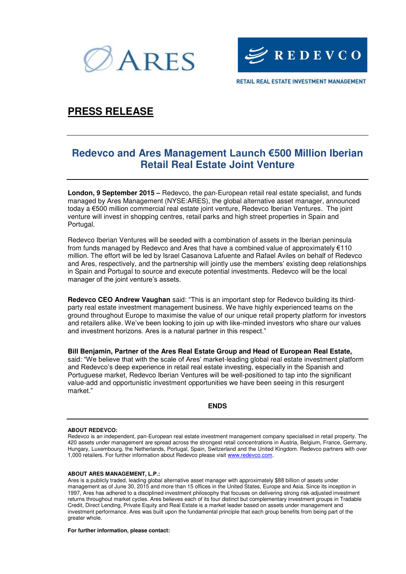



RETAIL REAL ESTATE INVESTMENT MANAGEMENT

# **PRESS RELEASE**

## **Redevco and Ares Management Launch €500 Million Iberian Retail Real Estate Joint Venture**

**London, 9 September 2015 –** Redevco, the pan-European retail real estate specialist, and funds managed by Ares Management (NYSE:ARES), the global alternative asset manager, announced today a €500 million commercial real estate joint venture, Redevco Iberian Ventures. The joint venture will invest in shopping centres, retail parks and high street properties in Spain and Portugal.

Redevco Iberian Ventures will be seeded with a combination of assets in the Iberian peninsula from funds managed by Redevco and Ares that have a combined value of approximately €110 million. The effort will be led by Israel Casanova Lafuente and Rafael Aviles on behalf of Redevco and Ares, respectively, and the partnership will jointly use the members' existing deep relationships in Spain and Portugal to source and execute potential investments. Redevco will be the local manager of the joint venture's assets.

**Redevco CEO Andrew Vaughan** said: "This is an important step for Redevco building its thirdparty real estate investment management business. We have highly experienced teams on the ground throughout Europe to maximise the value of our unique retail property platform for investors and retailers alike. We've been looking to join up with like-minded investors who share our values and investment horizons. Ares is a natural partner in this respect."

**Bill Benjamin, Partner of the Ares Real Estate Group and Head of European Real Estate,**  said: "We believe that with the scale of Ares' market-leading global real estate investment platform and Redevco's deep experience in retail real estate investing, especially in the Spanish and Portuguese market, Redevco Iberian Ventures will be well-positioned to tap into the significant value-add and opportunistic investment opportunities we have been seeing in this resurgent market."

### **ENDS**

### **ABOUT REDEVCO:**

Redevco is an independent, pan-European real estate investment management company specialised in retail property. The 420 assets under management are spread across the strongest retail concentrations in Austria, Belgium, France, Germany, Hungary, Luxembourg, the Netherlands, Portugal, Spain, Switzerland and the United Kingdom. Redevco partners with over 1,000 retailers. For further information about Redevco please visi[t www.redevco.com.](http://www.redevco.com/)

### **ABOUT ARES MANAGEMENT, L.P.:**

Ares is a publicly traded, leading global alternative asset manager with approximately \$88 billion of assets under management as of June 30, 2015 and more than 15 offices in the United States, Europe and Asia. Since its inception in 1997, Ares has adhered to a disciplined investment philosophy that focuses on delivering strong risk-adjusted investment returns throughout market cycles. Ares believes each of its four distinct but complementary investment groups in Tradable Credit, Direct Lending, Private Equity and Real Estate is a market leader based on assets under management and investment performance. Ares was built upon the fundamental principle that each group benefits from being part of the greater whole.

#### **For further information, please contact:**